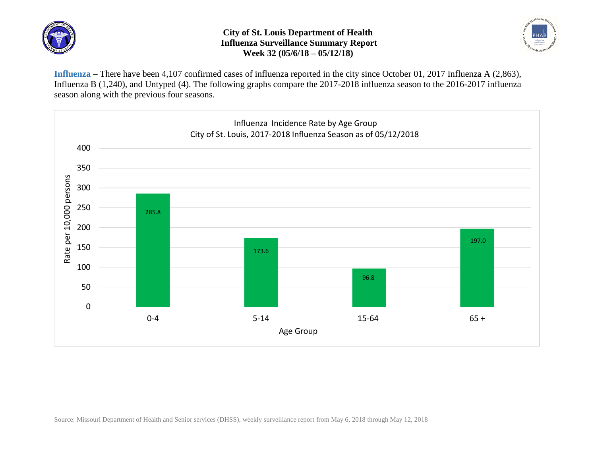

## **City of St. Louis Department of Health Influenza Surveillance Summary Report Week 32 (05/6/18 – 05/12/18)**



**Influenza** – There have been 4,107 confirmed cases of influenza reported in the city since October 01, 2017 Influenza A (2,863), Influenza B (1,240), and Untyped (4). The following graphs compare the 2017-2018 influenza season to the 2016-2017 influenza season along with the previous four seasons.